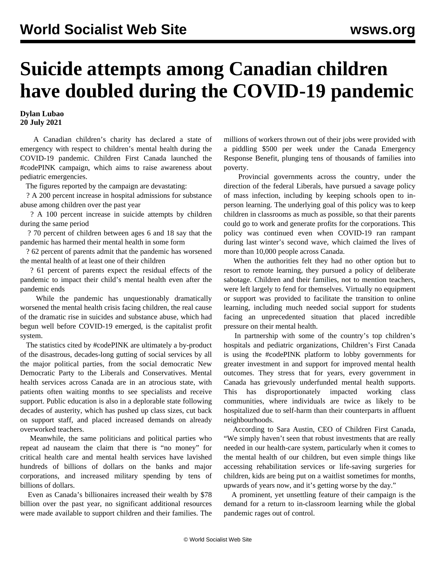## **Suicide attempts among Canadian children have doubled during the COVID-19 pandemic**

## **Dylan Lubao 20 July 2021**

 A Canadian children's charity has declared a state of emergency with respect to children's mental health during the COVID-19 pandemic. Children First Canada launched the #codePINK campaign, which aims to raise awareness about pediatric emergencies.

The figures reported by the campaign are devastating:

 ? A 200 percent increase in hospital admissions for substance abuse among children over the past year

 ? A 100 percent increase in suicide attempts by children during the same period

 ? 70 percent of children between ages 6 and 18 say that the pandemic has harmed their mental health in some form

 ? 62 percent of parents admit that the pandemic has worsened the mental health of at least one of their children

 ? 61 percent of parents expect the residual effects of the pandemic to impact their child's mental health even after the pandemic ends

 While the pandemic has unquestionably dramatically worsened the mental health crisis facing children, the real cause of the dramatic rise in suicides and substance abuse, which had begun well before COVID-19 emerged, is the capitalist profit system.

 The statistics cited by #codePINK are ultimately a by-product of the disastrous, decades-long gutting of social services by all the major political parties, from the social democratic New Democratic Party to the Liberals and Conservatives. Mental health services across Canada are in an atrocious state, with patients often waiting months to see specialists and receive support. Public education is also in a deplorable state following decades of austerity, which has pushed up class sizes, cut back on support staff, and placed increased demands on already overworked teachers.

 Meanwhile, the same politicians and political parties who repeat ad nauseam the claim that there is "no money" for critical health care and mental health services have lavished hundreds of billions of dollars on the banks and major corporations, and increased military spending by tens of billions of dollars.

 Even as Canada's billionaires increased their wealth by \$78 billion over the past year, no significant additional resources were made available to support children and their families. The millions of workers thrown out of their jobs were provided with a piddling \$500 per week under the Canada Emergency Response Benefit, plunging tens of thousands of families into poverty.

 Provincial governments across the country, under the direction of the federal Liberals, have pursued a savage policy of mass infection, including by keeping schools open to inperson learning. The underlying goal of this policy was to keep children in classrooms as much as possible, so that their parents could go to work and generate profits for the corporations. This policy was continued even when COVID-19 ran rampant during last winter's second wave, which claimed the lives of more than 10,000 people across Canada.

 When the authorities felt they had no other option but to resort to remote learning, they pursued a policy of deliberate sabotage. Children and their families, not to mention teachers, were left largely to fend for themselves. Virtually no equipment or support was provided to facilitate the transition to online learning, including much needed social support for students facing an unprecedented situation that placed incredible pressure on their mental health.

 In partnership with some of the country's top children's hospitals and pediatric organizations, Children's First Canada is using the #codePINK platform to lobby governments for greater investment in and support for improved mental health outcomes. They stress that for years, every government in Canada has grievously underfunded mental health supports. This has disproportionately impacted working class communities, where individuals are twice as likely to be hospitalized due to self-harm than their counterparts in affluent neighbourhoods.

 According to Sara Austin, CEO of Children First Canada, "We simply haven't seen that robust investments that are really needed in our health-care system, particularly when it comes to the mental health of our children, but even simple things like accessing rehabilitation services or life-saving surgeries for children, kids are being put on a waitlist sometimes for months, upwards of years now, and it's getting worse by the day."

 A prominent, yet unsettling feature of their campaign is the demand for a return to in-classroom learning while the global pandemic rages out of control.